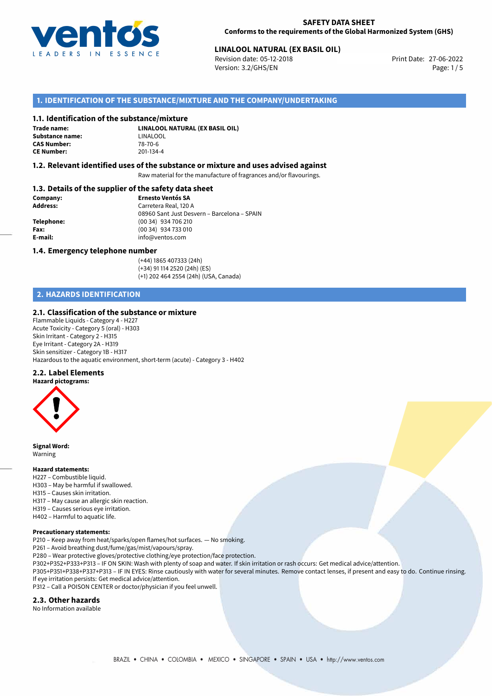

#### **SAFETY DATA SHEET Conforms to the requirements of the Global Harmonized System (GHS)**

# **LINALOOL NATURAL (EX BASIL OIL)**<br>
Revision date: 05-12-2018<br>
Print Date: 27-06-2022

Revision date: 05-12-2018 Version: 3.2/GHS/EN Page: 1/5

# **1. IDENTIFICATION OF THE SUBSTANCE/MIXTURE AND THE COMPANY/UNDERTAKING**

#### **1.1. Identification of the substance/mixture**

**Trade name: Substance name:** LINALOOL<br> **CAS Number:** 78-70-6 **CAS Number: CE Number:** 201-134-4

**LINALOOL NATURAL (EX BASIL OIL)**

#### **1.2. Relevant identified uses of the substance or mixture and uses advised against**

Raw material for the manufacture of fragrances and/or flavourings.

# **1.3. Details of the supplier of the safety data sheet**

| Company:        | <b>Ernesto Ventós SA</b>                    |
|-----------------|---------------------------------------------|
| <b>Address:</b> | Carretera Real, 120 A                       |
|                 | 08960 Sant Just Desvern - Barcelona - SPAIN |
| Telephone:      | (00 34) 934 706 210                         |
| Fax:            | (00 34) 934 733 010                         |
| E-mail:         | info@ventos.com                             |
|                 |                                             |

#### **1.4. Emergency telephone number**

(+44) 1865 407333 (24h) (+34) 91 114 2520 (24h) (ES) (+1) 202 464 2554 (24h) (USA, Canada)

# **2. HAZARDS IDENTIFICATION**

## **2.1. Classification of the substance or mixture**

Flammable Liquids - Category 4 - H227 Acute Toxicity - Category 5 (oral) - H303 Skin Irritant - Category 2 - H315 Eye Irritant - Category 2A - H319 Skin sensitizer - Category 1B - H317 Hazardous to the aquatic environment, short-term (acute) - Category 3 - H402

#### **2.2. Label Elements**

**Hazard pictograms:**



**Signal Word:** Warning

#### **Hazard statements:**

- H227 Combustible liquid.
- H303 May be harmful if swallowed.
- H315 Causes skin irritation.
- H317 May cause an allergic skin reaction.
- H319 Causes serious eye irritation.
- H402 Harmful to aquatic life.

#### **Precautionary statements:**

P210 – Keep away from heat/sparks/open flames/hot surfaces. — No smoking.

P261 – Avoid breathing dust/fume/gas/mist/vapours/spray.

- P280 Wear protective gloves/protective clothing/eye protection/face protection.
- P302+P352+P333+P313 IF ON SKIN: Wash with plenty of soap and water. If skin irritation or rash occurs: Get medical advice/attention.

P305+P351+P338+P337+P313 – IF IN EYES: Rinse cautiously with water for several minutes. Remove contact lenses, if present and easy to do. Continue rinsing. If eye irritation persists: Get medical advice/attention.

P312 – Call a POISON CENTER or doctor/physician if you feel unwell.

## **2.3. Other hazards**

No Information available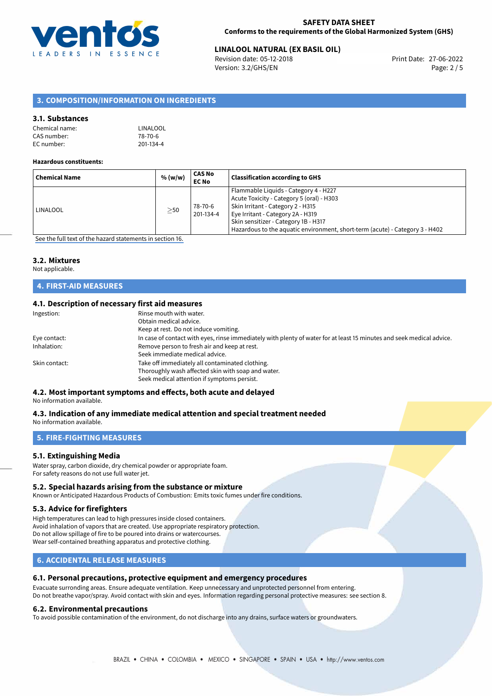

# **LINALOOL NATURAL (EX BASIL OIL)**<br>
Revision date: 05-12-2018<br>
Print Date: 27-06-2022

Revision date: 05-12-2018 Version: 3.2/GHS/EN Page: 2 / 5

# **3. COMPOSITION/INFORMATION ON INGREDIENTS**

## **3.1. Substances**

| Chemical name: | LINALOOL  |
|----------------|-----------|
| CAS number:    | 78-70-6   |
| EC number:     | 201-134-4 |

#### **Hazardous constituents:**

| <b>Chemical Name</b> | % (w/w)   | CAS No<br><b>EC No</b> | <b>Classification according to GHS</b>                                                                                                                                                                                                                                               |
|----------------------|-----------|------------------------|--------------------------------------------------------------------------------------------------------------------------------------------------------------------------------------------------------------------------------------------------------------------------------------|
| <b>LINALOOL</b>      | $\geq$ 50 | 78-70-6<br>201-134-4   | Flammable Liquids - Category 4 - H227<br>Acute Toxicity - Category 5 (oral) - H303<br>Skin Irritant - Category 2 - H315<br>Eye Irritant - Category 2A - H319<br>Skin sensitizer - Category 1B - H317<br>Hazardous to the aquatic environment, short-term (acute) - Category 3 - H402 |

[See the full text of the hazard statements in section 16.](#page-4-0)

#### **3.2. Mixtures**

Not applicable.

# **4. FIRST-AID MEASURES**

# **4.1. Description of necessary first aid measures**

| Ingestion:    | Rinse mouth with water.                                                                                               |
|---------------|-----------------------------------------------------------------------------------------------------------------------|
|               | Obtain medical advice.                                                                                                |
|               | Keep at rest. Do not induce vomiting.                                                                                 |
| Eye contact:  | In case of contact with eyes, rinse immediately with plenty of water for at least 15 minutes and seek medical advice. |
| Inhalation:   | Remove person to fresh air and keep at rest.                                                                          |
|               | Seek immediate medical advice.                                                                                        |
| Skin contact: | Take off immediately all contaminated clothing.                                                                       |
|               | Thoroughly wash affected skin with soap and water.                                                                    |
|               | Seek medical attention if symptoms persist.                                                                           |
|               |                                                                                                                       |

# **4.2. Most important symptoms and effects, both acute and delayed**

No information available.

#### **4.3. Indication of any immediate medical attention and special treatment needed** No information available.

**5. FIRE-FIGHTING MEASURES**

# **5.1. Extinguishing Media**

Water spray, carbon dioxide, dry chemical powder or appropriate foam. For safety reasons do not use full water jet.

#### **5.2. Special hazards arising from the substance or mixture**

Known or Anticipated Hazardous Products of Combustion: Emits toxic fumes under fire conditions.

## **5.3. Advice for firefighters**

High temperatures can lead to high pressures inside closed containers. Avoid inhalation of vapors that are created. Use appropriate respiratory protection. Do not allow spillage of fire to be poured into drains or watercourses. Wear self-contained breathing apparatus and protective clothing.

# **6. ACCIDENTAL RELEASE MEASURES**

# **6.1. Personal precautions, protective equipment and emergency procedures**

Evacuate surronding areas. Ensure adequate ventilation. Keep unnecessary and unprotected personnel from entering. Do not breathe vapor/spray. Avoid contact with skin and eyes. Information regarding personal protective measures: see section 8.

#### **6.2. Environmental precautions**

To avoid possible contamination of the environment, do not discharge into any drains, surface waters or groundwaters.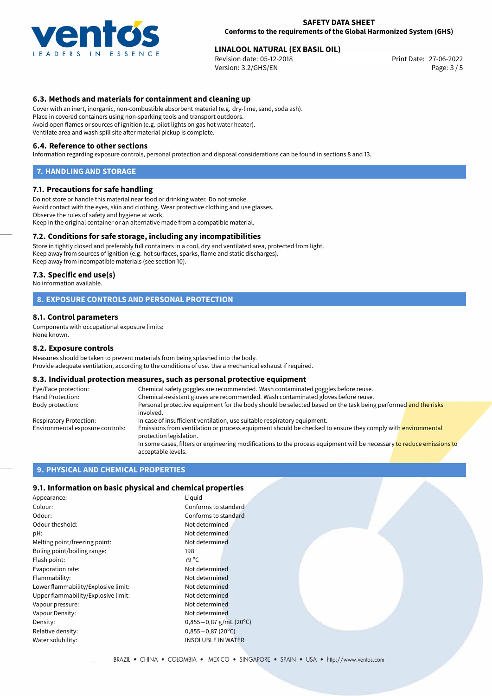

#### **SAFETY DATA SHEET Conforms to the requirements of the Global Harmonized System (GHS)**

# **LINALOOL NATURAL (EX BASIL OIL)**<br>
Revision date: 05-12-2018<br>
Print Date: 27-06-2022

Revision date:  $05-12-2018$ Version: 3.2/GHS/EN Page: 3 / 5

# **6.3. Methods and materials for containment and cleaning up**

Cover with an inert, inorganic, non-combustible absorbent material (e.g. dry-lime, sand, soda ash). Place in covered containers using non-sparking tools and transport outdoors. Avoid open flames or sources of ignition (e.g. pilot lights on gas hot water heater). Ventilate area and wash spill site after material pickup is complete.

#### **6.4. Reference to other sections**

Information regarding exposure controls, personal protection and disposal considerations can be found in sections 8 and 13.

#### **7. HANDLING AND STORAGE**

#### **7.1. Precautions for safe handling**

Do not store or handle this material near food or drinking water. Do not smoke. Avoid contact with the eyes, skin and clothing. Wear protective clothing and use glasses. Observe the rules of safety and hygiene at work. Keep in the original container or an alternative made from a compatible material.

## **7.2. Conditions for safe storage, including any incompatibilities**

Store in tightly closed and preferably full containers in a cool, dry and ventilated area, protected from light. Keep away from sources of ignition (e.g. hot surfaces, sparks, flame and static discharges). Keep away from incompatible materials (see section 10).

#### **7.3. Specific end use(s)**

No information available.

## **8. EXPOSURE CONTROLS AND PERSONAL PROTECTION**

#### **8.1. Control parameters**

Components with occupational exposure limits: None known.

#### **8.2. Exposure controls**

Measures should be taken to prevent materials from being splashed into the body. Provide adequate ventilation, according to the conditions of use. Use a mechanical exhaust if required.

#### **8.3. Individual protection measures, such as personal protective equipment**

| Eye/Face protection:             | Chemical safety goggles are recommended. Wash contaminated goggles before reuse.                                                            |
|----------------------------------|---------------------------------------------------------------------------------------------------------------------------------------------|
| Hand Protection:                 | Chemical-resistant gloves are recommended. Wash contaminated gloves before reuse.                                                           |
| Body protection:                 | Personal protective equipment for the body should be selected based on the task being performed and the risks<br>involved.                  |
| Respiratory Protection:          | In case of insufficient ventilation, use suitable respiratory equipment.                                                                    |
| Environmental exposure controls: | Emissions from ventilation or process equipment should be checked to ensure they comply with environmental<br>protection legislation.       |
|                                  | In some cases, filters or engineering modifications to the process equipment will be necessary to reduce emissions to<br>acceptable levels. |

# **9. PHYSICAL AND CHEMICAL PROPERTIES**

#### **9.1. Information on basic physical and chemical properties**

| Appearance:                         | Liquid                    |
|-------------------------------------|---------------------------|
| Colour:                             | Conforms to standard      |
| Odour:                              | Conforms to standard      |
| Odour theshold:                     | Not determined            |
| pH:                                 | Not determined            |
| Melting point/freezing point:       | Not determined            |
| Boling point/boiling range:         | 198                       |
| Flash point:                        | 79 °C                     |
| Evaporation rate:                   | Not determined            |
| Flammability:                       | Not determined            |
| Lower flammability/Explosive limit: | Not determined            |
| Upper flammability/Explosive limit: | Not determined            |
| Vapour pressure:                    | Not determined            |
| Vapour Density:                     | Not determined            |
| Density:                            | $0,855-0,87$ g/mL (20°C)  |
| Relative density:                   | $0,855 - 0,87$ (20°C)     |
| Water solubility:                   | <b>INSOLUBLE IN WATER</b> |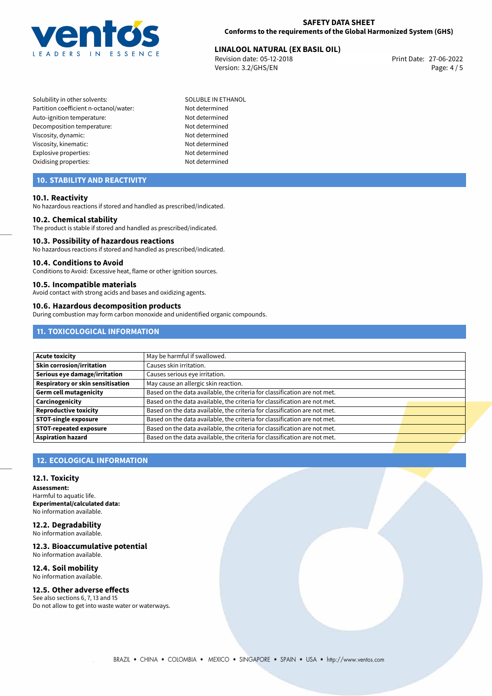

# **LINALOOL NATURAL (EX BASIL OIL)**<br>
Revision date: 05-12-2018<br>
Print Date: 27-06-2022

Revision date: 05-12-2018 Version: 3.2/GHS/EN Page: 4 / 5

Solubility in other solvents: SOLUBLE IN ETHANOL Partition coefficient n-octanol/water: Not determined Auto-ignition temperature: Not determined Decomposition temperature: Not determined Viscosity, dynamic: Not determined Viscosity, kinematic: Not determined Explosive properties: Not determined Oxidising properties: Not determined

# **10. STABILITY AND REACTIVITY**

## **10.1. Reactivity**

No hazardous reactions if stored and handled as prescribed/indicated.

## **10.2. Chemical stability**

The product is stable if stored and handled as prescribed/indicated.

#### **10.3. Possibility of hazardous reactions**

No hazardous reactions if stored and handled as prescribed/indicated.

#### **10.4. Conditions to Avoid**

Conditions to Avoid: Excessive heat, flame or other ignition sources.

#### **10.5. Incompatible materials**

Avoid contact with strong acids and bases and oxidizing agents.

#### **10.6. Hazardous decomposition products**

During combustion may form carbon monoxide and unidentified organic compounds.

# **11. TOXICOLOGICAL INFORMATION**

| <b>Acute toxicity</b>             | May be harmful if swallowed.                                              |  |
|-----------------------------------|---------------------------------------------------------------------------|--|
| Skin corrosion/irritation         | Causes skin irritation.                                                   |  |
| Serious eye damage/irritation     | Causes serious eye irritation.                                            |  |
| Respiratory or skin sensitisation | May cause an allergic skin reaction.                                      |  |
| <b>Germ cell mutagenicity</b>     | Based on the data available, the criteria for classification are not met. |  |
| Carcinogenicity                   | Based on the data available, the criteria for classification are not met. |  |
| Reproductive toxicity             | Based on the data available, the criteria for classification are not met. |  |
| <b>STOT-single exposure</b>       | Based on the data available, the criteria for classification are not met. |  |
| <b>STOT-repeated exposure</b>     | Based on the data available, the criteria for classification are not met. |  |
| <b>Aspiration hazard</b>          | Based on the data available, the criteria for classification are not met. |  |

# **12. ECOLOGICAL INFORMATION**

#### **12.1. Toxicity**

**Assessment:** Harmful to aquatic life. **Experimental/calculated data:** No information available.

**12.2. Degradability** No information available.

## **12.3. Bioaccumulative potential**

No information available.

#### **12.4. Soil mobility** No information available.

# **12.5. Other adverse effects**

See also sections 6, 7, 13 and 15 Do not allow to get into waste water or waterways.